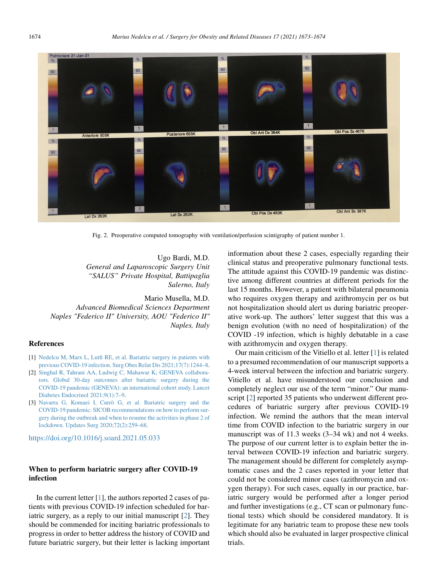

Fig. 2. Preoperative computed tomography with ventilation/perfusion scintigraphy of patient number 1.

Ugo Bardi, M.D. General and Laparoscopic Surgery Unit "SALUS" Private Hospital, Battipaglia Salerno, Italy

Mario Musella, M.D. Advanced Biomedical Sciences Department Naples "Federico II" University, AOU "Federico II" Naples, Italy

## References

- [1] [Nedelcu M, Marx L, Lutfi RE, et al. Bariatric surgery in patients with](http://refhub.elsevier.com/S1550-7289(21)00317-8/sref1) [previous COVID-19 infection. Surg Obes Relat Dis 2021;17\(7\):1244–8](http://refhub.elsevier.com/S1550-7289(21)00317-8/sref1).
- [2] [Singhal R, Tahrani AA, Ludwig C, Mahawar K; GENEVA collabora](http://refhub.elsevier.com/S1550-7289(21)00317-8/sref2)[tors. Global 30-day outcomes after bariatric surgery during the](http://refhub.elsevier.com/S1550-7289(21)00317-8/sref2) [COVID-19 pandemic \(GENEVA\): an international cohort study. Lancet](http://refhub.elsevier.com/S1550-7289(21)00317-8/sref2) [Diabetes Endocrinol 2021;9\(1\):7–9.](http://refhub.elsevier.com/S1550-7289(21)00317-8/sref2)
- [3] [Navarra G, Komaei I, Curr](http://refhub.elsevier.com/S1550-7289(21)00317-8/sref3)ò [G, et al. Bariatric surgery and the](http://refhub.elsevier.com/S1550-7289(21)00317-8/sref3) [COVID-19 pandemic: SICOB recommendations on how to perform sur](http://refhub.elsevier.com/S1550-7289(21)00317-8/sref3)[gery during the outbreak and when to resume the activities in phase 2 of](http://refhub.elsevier.com/S1550-7289(21)00317-8/sref3) [lockdown. Updates Surg 2020;72\(2\):259–68.](http://refhub.elsevier.com/S1550-7289(21)00317-8/sref3)

<https://doi.org/10.1016/j.soard.2021.05.033>

## When to perform bariatric surgery after COVID-19 infection

In the current letter [\[1](#page-1-0)], the authors reported 2 cases of patients with previous COVID-19 infection scheduled for bariatric surgery, as a reply to our initial manuscript [[2\]](#page-1-1). They should be commended for inciting bariatric professionals to progress in order to better address the history of COVID and future bariatric surgery, but their letter is lacking important information about these 2 cases, especially regarding their clinical status and preoperative pulmonary functional tests. The attitude against this COVID-19 pandemic was distinctive among different countries at different periods for the last 15 months. However, a patient with bilateral pneumonia who requires oxygen therapy and azithromycin per os but not hospitalization should alert us during bariatric preoperative work-up. The authors' letter suggest that this was a benign evolution (with no need of hospitalization) of the COVID -19 infection, which is highly debatable in a case with azithromycin and oxygen therapy.

Our main criticism of the Vitiello et al. letter [\[1](#page-1-0)] is related to a presumed recommendation of our manuscript supports a 4-week interval between the infection and bariatric surgery. Vitiello et al. have misunderstood our conclusion and completely neglect our use of the term "minor." Our manu-script [\[2](#page-1-1)] reported 35 patients who underwent different procedures of bariatric surgery after previous COVID-19 infection. We remind the authors that the mean interval time from COVID infection to the bariatric surgery in our manuscript was of 11.3 weeks (3–34 wk) and not 4 weeks. The purpose of our current letter is to explain better the interval between COVID-19 infection and bariatric surgery. The management should be different for completely asymptomatic cases and the 2 cases reported in your letter that could not be considered minor cases (azithromycin and oxygen therapy). For such cases, equally in our practice, bariatric surgery would be performed after a longer period and further investigations (e.g., CT scan or pulmonary functional tests) which should be considered mandatory. It is legitimate for any bariatric team to propose these new tools which should also be evaluated in larger prospective clinical trials.